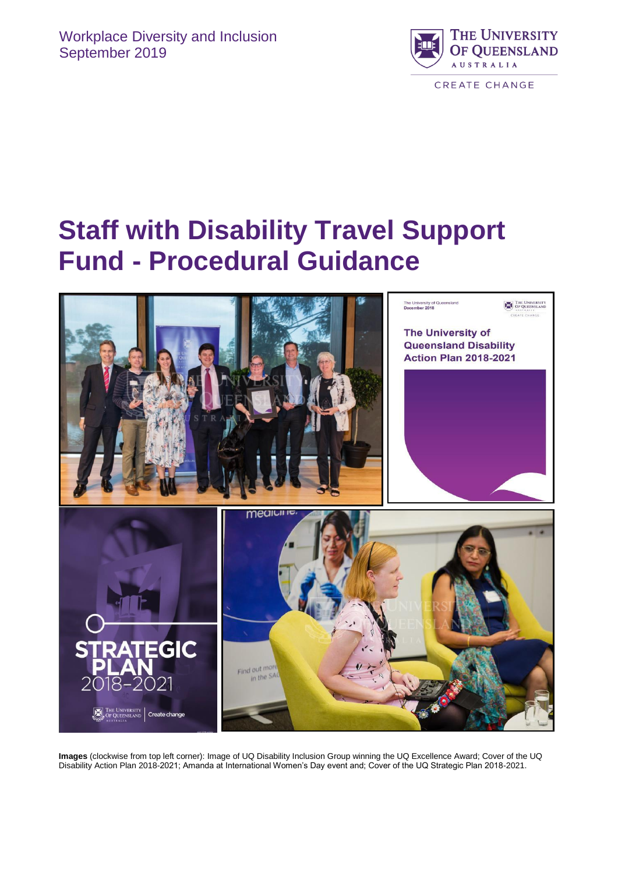

# **Staff with Disability Travel Support Fund - Procedural Guidance**



**Images** (clockwise from top left corner): Image of UQ Disability Inclusion Group winning the UQ Excellence Award; Cover of the UQ Disability Action Plan 2018-2021; Amanda at International Women's Day event and; Cover of the UQ Strategic Plan 2018-2021.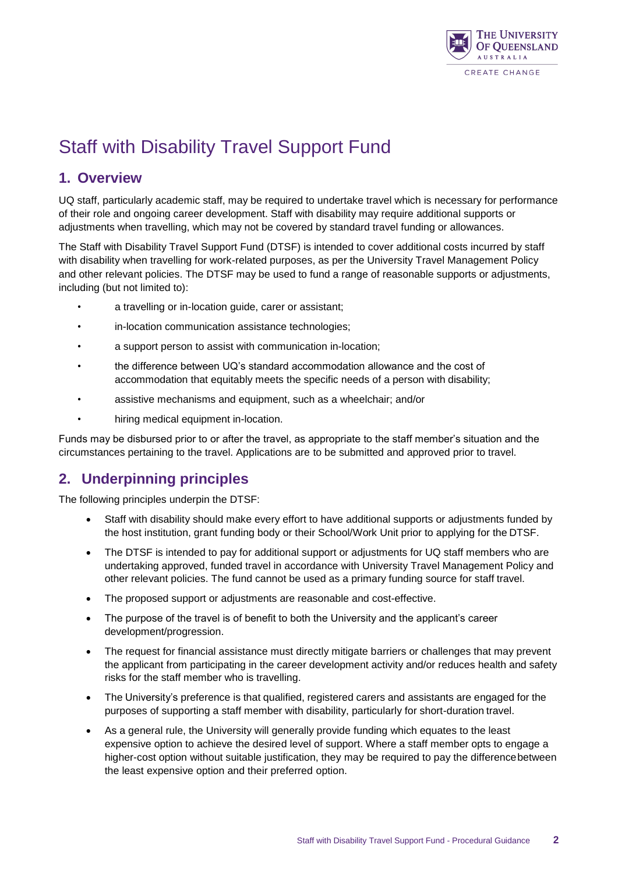

## Staff with Disability Travel Support Fund

## **1. Overview**

UQ staff, particularly academic staff, may be required to undertake travel which is necessary for performance of their role and ongoing career development. Staff with disability may require additional supports or adjustments when travelling, which may not be covered by standard travel funding or allowances.

The Staff with Disability Travel Support Fund (DTSF) is intended to cover additional costs incurred by staff with disability when travelling for work-related purposes, as per the University Travel Management Policy and other relevant policies. The DTSF may be used to fund a range of reasonable supports or adjustments, including (but not limited to):

- a travelling or in-location guide, carer or assistant;
- in-location communication assistance technologies;
- a support person to assist with communication in-location;
- the difference between UQ's standard accommodation allowance and the cost of accommodation that equitably meets the specific needs of a person with disability;
- assistive mechanisms and equipment, such as a wheelchair; and/or
- hiring medical equipment in-location.

Funds may be disbursed prior to or after the travel, as appropriate to the staff member's situation and the circumstances pertaining to the travel. Applications are to be submitted and approved prior to travel.

## **2. Underpinning principles**

The following principles underpin the DTSF:

- Staff with disability should make every effort to have additional supports or adjustments funded by the host institution, grant funding body or their School/Work Unit prior to applying for the DTSF.
- The DTSF is intended to pay for additional support or adjustments for UQ staff members who are undertaking approved, funded travel in accordance with University Travel Management Policy and other relevant policies. The fund cannot be used as a primary funding source for staff travel.
- The proposed support or adjustments are reasonable and cost-effective.
- The purpose of the travel is of benefit to both the University and the applicant's career development/progression.
- The request for financial assistance must directly mitigate barriers or challenges that may prevent the applicant from participating in the career development activity and/or reduces health and safety risks for the staff member who is travelling.
- The University's preference is that qualified, registered carers and assistants are engaged for the purposes of supporting a staff member with disability, particularly for short-duration travel.
- As a general rule, the University will generally provide funding which equates to the least expensive option to achieve the desired level of support. Where a staff member opts to engage a higher-cost option without suitable justification, they may be required to pay the differencebetween the least expensive option and their preferred option.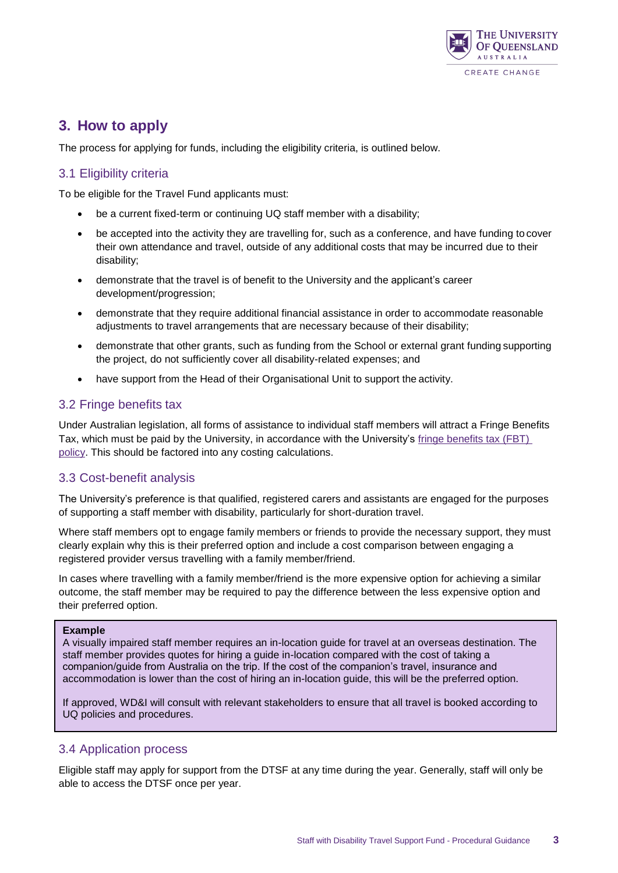

## **3. How to apply**

The process for applying for funds, including the eligibility criteria, is outlined below.

#### 3.1 Eligibility criteria

To be eligible for the Travel Fund applicants must:

- be a current fixed-term or continuing UQ staff member with a disability;
- be accepted into the activity they are travelling for, such as a conference, and have funding to cover their own attendance and travel, outside of any additional costs that may be incurred due to their disability;
- demonstrate that the travel is of benefit to the University and the applicant's career development/progression;
- demonstrate that they require additional financial assistance in order to accommodate reasonable adjustments to travel arrangements that are necessary because of their disability;
- demonstrate that other grants, such as funding from the School or external grant funding supporting the project, do not sufficiently cover all disability-related expenses; and
- have support from the Head of their Organisational Unit to support the activity.

#### 3.2 Fringe benefits tax

Under Australian legislation, all forms of assistance to individual staff members will attract a Fringe Benefits Tax, which must be paid by the University, in accordance with the University's fringe [benefits tax \(FBT\)](https://staff.uq.edu.au/information-and-services/finance/accounting/tax/fbt)  [policy.](https://staff.uq.edu.au/information-and-services/finance/accounting/tax/fbt) This should be factored into any costing calculations.

#### 3.3 Cost-benefit analysis

The University's preference is that qualified, registered carers and assistants are engaged for the purposes of supporting a staff member with disability, particularly for short-duration travel.

Where staff members opt to engage family members or friends to provide the necessary support, they must clearly explain why this is their preferred option and include a cost comparison between engaging a registered provider versus travelling with a family member/friend.

In cases where travelling with a family member/friend is the more expensive option for achieving a similar outcome, the staff member may be required to pay the difference between the less expensive option and their preferred option.

#### **Example**

A visually impaired staff member requires an in-location guide for travel at an overseas destination. The staff member provides quotes for hiring a guide in-location compared with the cost of taking a companion/guide from Australia on the trip. If the cost of the companion's travel, insurance and accommodation is lower than the cost of hiring an in-location guide, this will be the preferred option.

If approved, WD&I will consult with relevant stakeholders to ensure that all travel is booked according to UQ policies and procedures.

#### 3.4 Application process

Eligible staff may apply for support from the DTSF at any time during the year. Generally, staff will only be able to access the DTSF once per year.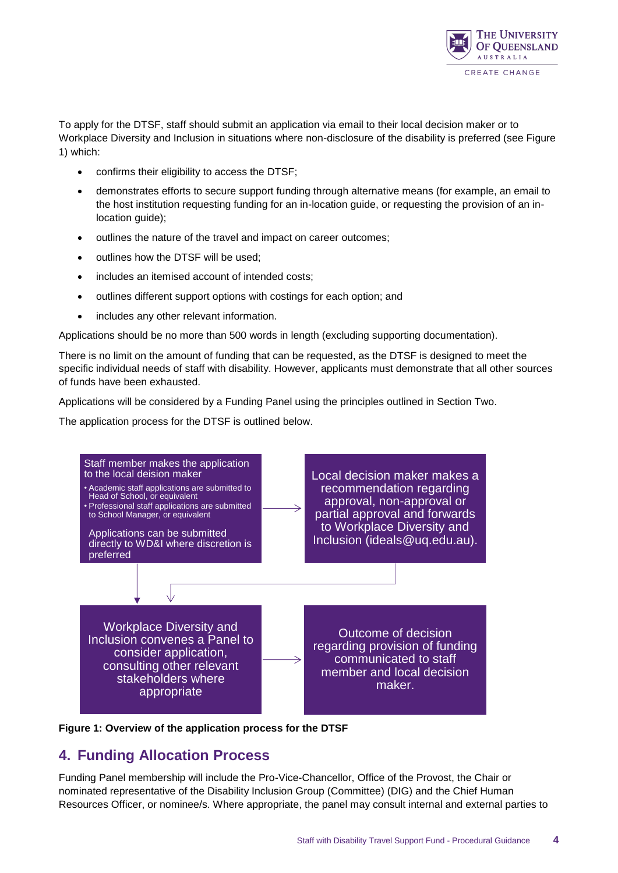

To apply for the DTSF, staff should submit an application via email to their local decision maker or to Workplace Diversity and Inclusion in situations where non-disclosure of the disability is preferred (see Figure 1) which:

- confirms their eligibility to access the DTSF;
- demonstrates efforts to secure support funding through alternative means (for example, an email to the host institution requesting funding for an in-location guide, or requesting the provision of an inlocation guide);
- $\bullet$  outlines the nature of the travel and impact on career outcomes;
- outlines how the DTSF will be used;
- includes an itemised account of intended costs;
- outlines different support options with costings for each option; and
- includes any other relevant information.

Applications should be no more than 500 words in length (excluding supporting documentation).

There is no limit on the amount of funding that can be requested, as the DTSF is designed to meet the specific individual needs of staff with disability. However, applicants must demonstrate that all other sources of funds have been exhausted.

Applications will be considered by a Funding Panel using the principles outlined in Section Two.

The application process for the DTSF is outlined below.





## **4. Funding Allocation Process**

Funding Panel membership will include the Pro-Vice-Chancellor, Office of the Provost, the Chair or nominated representative of the Disability Inclusion Group (Committee) (DIG) and the Chief Human Resources Officer, or nominee/s. Where appropriate, the panel may consult internal and external parties to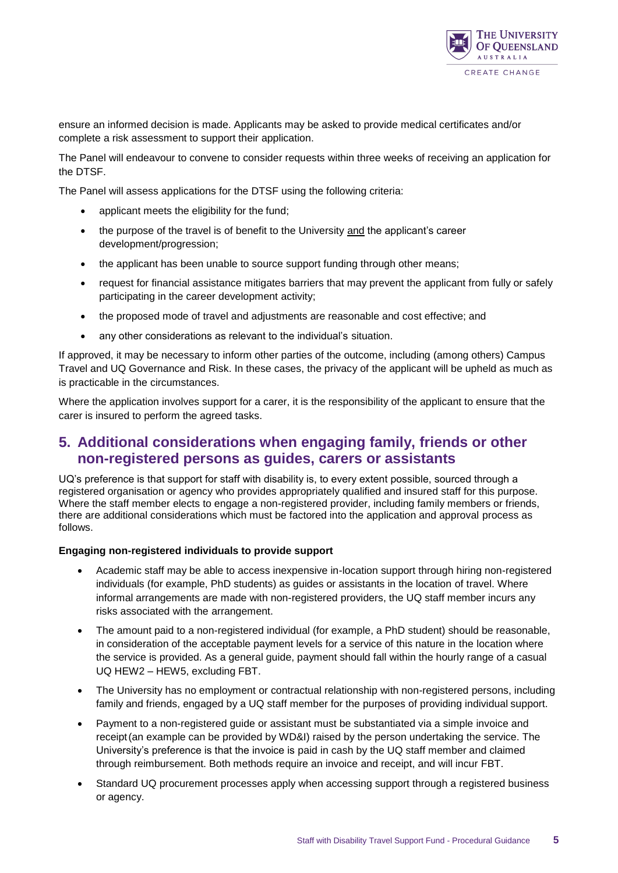

ensure an informed decision is made. Applicants may be asked to provide medical certificates and/or complete a risk assessment to support their application.

The Panel will endeavour to convene to consider requests within three weeks of receiving an application for the DTSF.

The Panel will assess applications for the DTSF using the following criteria:

- applicant meets the eligibility for the fund;
- the purpose of the travel is of benefit to the University and the applicant's career development/progression;
- the applicant has been unable to source support funding through other means;
- request for financial assistance mitigates barriers that may prevent the applicant from fully or safely participating in the career development activity;
- the proposed mode of travel and adjustments are reasonable and cost effective; and
- any other considerations as relevant to the individual's situation.

If approved, it may be necessary to inform other parties of the outcome, including (among others) Campus Travel and UQ Governance and Risk. In these cases, the privacy of the applicant will be upheld as much as is practicable in the circumstances.

Where the application involves support for a carer, it is the responsibility of the applicant to ensure that the carer is insured to perform the agreed tasks.

## **5. Additional considerations when engaging family, friends or other non-registered persons as guides, carers or assistants**

UQ's preference is that support for staff with disability is, to every extent possible, sourced through a registered organisation or agency who provides appropriately qualified and insured staff for this purpose. Where the staff member elects to engage a non-registered provider, including family members or friends, there are additional considerations which must be factored into the application and approval process as follows.

#### **Engaging non-registered individuals to provide support**

- Academic staff may be able to access inexpensive in-location support through hiring non-registered individuals (for example, PhD students) as guides or assistants in the location of travel. Where informal arrangements are made with non-registered providers, the UQ staff member incurs any risks associated with the arrangement.
- The amount paid to a non-registered individual (for example, a PhD student) should be reasonable, in consideration of the acceptable payment levels for a service of this nature in the location where the service is provided. As a general guide, payment should fall within the hourly range of a casual UQ HEW2 – HEW5, excluding FBT.
- The University has no employment or contractual relationship with non-registered persons, including family and friends, engaged by a UQ staff member for the purposes of providing individual support.
- Payment to a non-registered guide or assistant must be substantiated via a simple invoice and receipt(an example can be provided by WD&I) raised by the person undertaking the service. The University's preference is that the invoice is paid in cash by the UQ staff member and claimed through reimbursement. Both methods require an invoice and receipt, and will incur FBT.
- Standard UQ procurement processes apply when accessing support through a registered business or agency.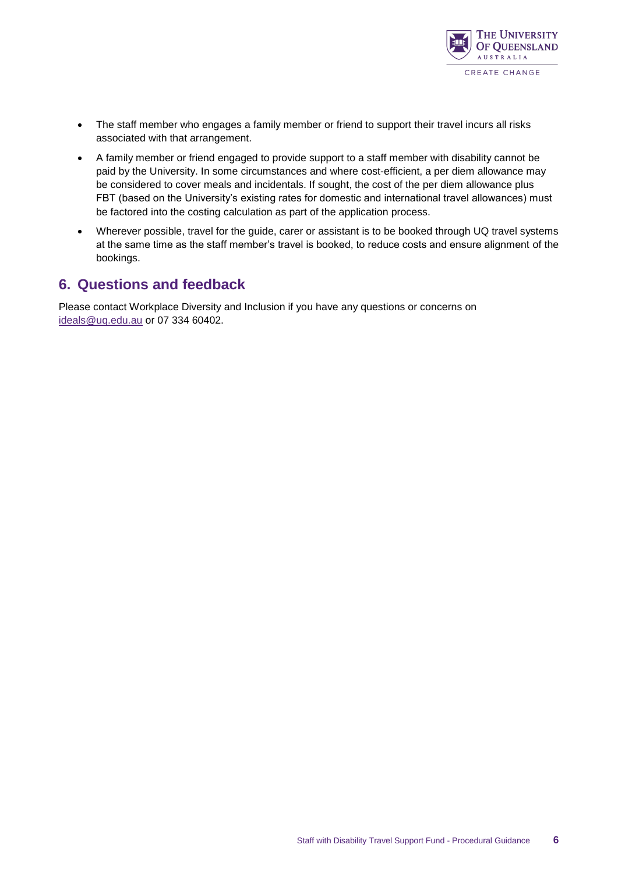

- The staff member who engages a family member or friend to support their travel incurs all risks associated with that arrangement.
- A family member or friend engaged to provide support to a staff member with disability cannot be paid by the University. In some circumstances and where cost-efficient, a per diem allowance may be considered to cover meals and incidentals. If sought, the cost of the per diem allowance plus FBT (based on the University's existing rates for domestic and international travel allowances) must be factored into the costing calculation as part of the application process.
- Wherever possible, travel for the guide, carer or assistant is to be booked through UQ travel systems at the same time as the staff member's travel is booked, to reduce costs and ensure alignment of the bookings.

### **6. Questions and feedback**

Please contact Workplace Diversity and Inclusion if you have any questions or concerns on [ideals@uq.edu.au](mailto:ideals@uq.edu.au) or 07 334 60402.